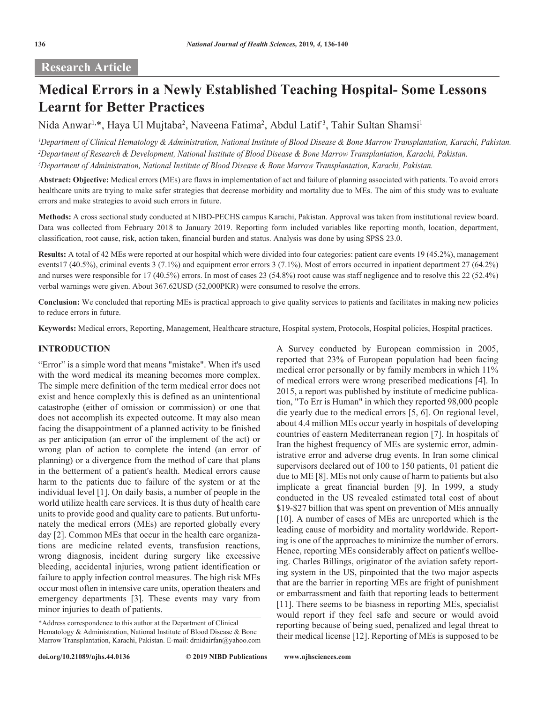# **Research Article**

# **Medical Errors in a Newly Established Teaching Hospital- Some Lessons Learnt for Better Practices**

Nida Anwar<sup>ı,</sup>\*, Haya Ul Mujtaba<sup>2</sup>, Naveena Fatima<sup>2</sup>, Abdul Latif<sup>3</sup>, Tahir Sultan Shamsi<sup>1</sup>

*1 Department of Clinical Hematology & Administration, National Institute of Blood Disease & Bone Marrow Transplantation, Karachi, Pakistan. 2 Department of Research & Development, National Institute of Blood Disease & Bone Marrow Transplantation, Karachi, Pakistan. 3 Department of Administration, National Institute of Blood Disease & Bone Marrow Transplantation, Karachi, Pakistan.*

**Abstract: Objective:** Medical errors (MEs) are flaws in implementation of act and failure of planning associated with patients. To avoid errors healthcare units are trying to make safer strategies that decrease morbidity and mortality due to MEs. The aim of this study was to evaluate errors and make strategies to avoid such errors in future.

**Methods:** A cross sectional study conducted at NIBD-PECHS campus Karachi, Pakistan. Approval was taken from institutional review board. Data was collected from February 2018 to January 2019. Reporting form included variables like reporting month, location, department, classification, root cause, risk, action taken, financial burden and status. Analysis was done by using SPSS 23.0.

**Results:** A total of 42 MEs were reported at our hospital which were divided into four categories: patient care events 19 (45.2%), management events17 (40.5%), criminal events 3 (7.1%) and equipment error errors 3 (7.1%). Most of errors occurred in inpatient department 27 (64.2%) and nurses were responsible for 17 (40.5%) errors. In most of cases 23 (54.8%) root cause was staff negligence and to resolve this 22 (52.4%) verbal warnings were given. About 367.62USD (52,000PKR) were consumed to resolve the errors.

**Conclusion:** We concluded that reporting MEs is practical approach to give quality services to patients and facilitates in making new policies to reduce errors in future.

**Keywords:** Medical errors, Reporting, Management, Healthcare structure, Hospital system, Protocols, Hospital policies, Hospital practices.

A Survey conducted by European commission in 2005, reported that 23% of European population had been facing medical error personally or by family members in which 11% of medical errors were wrong prescribed medications [4]. In 2015, a report was published by institute of medicine publication, "To Err is Human" in which they reported 98,000 people die yearly due to the medical errors [5, 6]. On regional level, about 4.4 million MEs occur yearly in hospitals of developing countries of eastern Mediterranean region [7]. In hospitals of Iran the highest frequency of MEs are systemic error, administrative error and adverse drug events. In Iran some clinical supervisors declared out of 100 to 150 patients, 01 patient die due to ME [8]. MEs not only cause of harm to patients but also implicate a great financial burden [9]. In 1999, a study conducted in the US revealed estimated total cost of about \$19-\$27 billion that was spent on prevention of MEs annually [10]. A number of cases of MEs are unreported which is the leading cause of morbidity and mortality worldwide. Reporting is one of the approaches to minimize the number of errors. Hence, reporting MEs considerably affect on patient's wellbeing. Charles Billings, originator of the aviation safety reporting system in the US, pinpointed that the two major aspects that are the barrier in reporting MEs are fright of punishment or embarrassment and faith that reporting leads to betterment

#### **INTRODUCTION**

"Error" is a simple word that means "mistake". When it's used with the word medical its meaning becomes more complex. The simple mere definition of the term medical error does not exist and hence complexly this is defined as an unintentional catastrophe (either of omission or commission) or one that does not accomplish its expected outcome. It may also mean facing the disappointment of a planned activity to be finished as per anticipation (an error of the implement of the act) or wrong plan of action to complete the intend (an error of planning) or a divergence from the method of care that plans in the betterment of a patient's health. Medical errors cause harm to the patients due to failure of the system or at the individual level [1]. On daily basis, a number of people in the world utilize health care services. It is thus duty of health care units to provide good and quality care to patients. But unfortunately the medical errors (MEs) are reported globally every day [2]. Common MEs that occur in the health care organizations are medicine related events, transfusion reactions, wrong diagnosis, incident during surgery like excessive bleeding, accidental injuries, wrong patient identification or failure to apply infection control measures. The high risk MEs occur most often in intensive care units, operation theaters and emergency departments [3]. These events may vary from minor injuries to death of patients.

[11]. There seems to be biasness in reporting MEs, specialist would report if they feel safe and secure or would avoid reporting because of being sued, penalized and legal threat to their medical license [12]. Reporting of MEs is supposed to be

<sup>\*</sup>Address correspondence to this author at the Department of Clinical Hematology & Administration, National Institute of Blood Disease & Bone Marrow Transplantation, Karachi, Pakistan. E-mail: drnidairfan@yahoo.com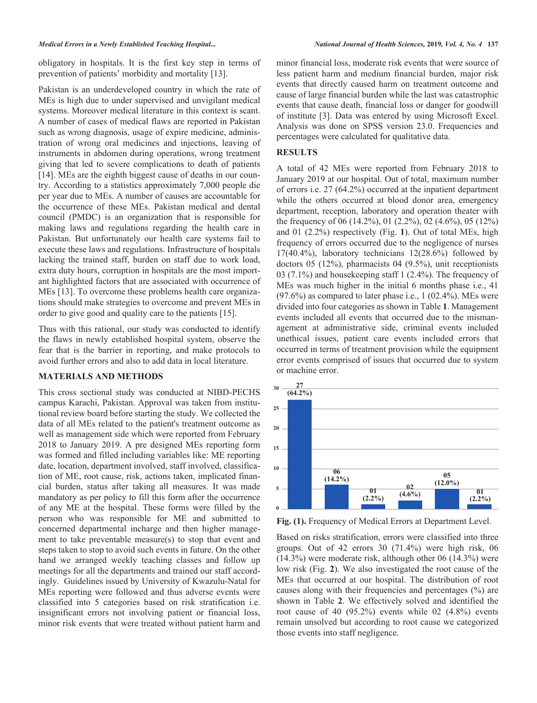obligatory in hospitals. It is the first key step in terms of prevention of patients' morbidity and mortality [13].

Pakistan is an underdeveloped country in which the rate of MEs is high due to under supervised and unvigilant medical systems. Moreover medical literature in this context is scant. A number of cases of medical flaws are reported in Pakistan such as wrong diagnosis, usage of expire medicine, administration of wrong oral medicines and injections, leaving of instruments in abdomen during operations, wrong treatment giving that led to severe complications to death of patients [14]. MEs are the eighth biggest cause of deaths in our country. According to a statistics approximately 7,000 people die per year due to MEs. A number of causes are accountable for the occurrence of these MEs. Pakistan medical and dental council (PMDC) is an organization that is responsible for making laws and regulations regarding the health care in Pakistan. But unfortunately our health care systems fail to execute these laws and regulations. Infrastructure of hospitals lacking the trained staff, burden on staff due to work load, extra duty hours, corruption in hospitals are the most important highlighted factors that are associated with occurrence of MEs [13]. To overcome these problems health care organizations should make strategies to overcome and prevent MEs in order to give good and quality care to the patients [15].

Thus with this rational, our study was conducted to identify the flaws in newly established hospital system, observe the fear that is the barrier in reporting, and make protocols to avoid further errors and also to add data in local literature.

## **MATERIALS AND METHODS**

This cross sectional study was conducted at NIBD-PECHS campus Karachi, Pakistan. Approval was taken from institutional review board before starting the study. We collected the data of all MEs related to the patient's treatment outcome as well as management side which were reported from February 2018 to January 2019. A pre designed MEs reporting form was formed and filled including variables like: ME reporting date, location, department involved, staff involved, classification of ME, root cause, risk, actions taken, implicated financial burden, status after taking all measures. It was made mandatory as per policy to fill this form after the occurrence of any ME at the hospital. These forms were filled by the person who was responsible for ME and submitted to concerned departmental incharge and then higher management to take preventable measure(s) to stop that event and steps taken to stop to avoid such events in future. On the other hand we arranged weekly teaching classes and follow up meetings for all the departments and trained our staff accordingly. Guidelines issued by University of Kwazulu-Natal for MEs reporting were followed and thus adverse events were classified into 5 categories based on risk stratification i.e. insignificant errors not involving patient or financial loss, minor risk events that were treated without patient harm and

minor financial loss, moderate risk events that were source of less patient harm and medium financial burden, major risk events that directly caused harm on treatment outcome and cause of large financial burden while the last was catastrophic events that cause death, financial loss or danger for goodwill of institute [3]. Data was entered by using Microsoft Excel. Analysis was done on SPSS version 23.0. Frequencies and percentages were calculated for qualitative data.

#### **RESULTS**

A total of 42 MEs were reported from February 2018 to January 2019 at our hospital. Out of total, maximum number of errors i.e. 27 (64.2%) occurred at the inpatient department while the others occurred at blood donor area, emergency department, reception, laboratory and operation theater with the frequency of 06 (14.2%), 01 (2.2%), 02 (4.6%), 05 (12%) and 01 (2.2%) respectively (Fig. **1**). Out of total MEs, high frequency of errors occurred due to the negligence of nurses  $17(40.4\%)$ , laboratory technicians  $12(28.6\%)$  followed by doctors 05 (12%), pharmacists 04 (9.5%), unit receptionists 03 (7.1%) and housekeeping staff 1 (2.4%). The frequency of MEs was much higher in the initial 6 months phase i.e., 41  $(97.6\%)$  as compared to later phase i.e., 1  $(02.4\%)$ . MEs were divided into four categories as shown in Table **1**. Management events included all events that occurred due to the mismanagement at administrative side, criminal events included unethical issues, patient care events included errors that occurred in terms of treatment provision while the equipment error events comprised of issues that occurred due to system or machine error.



**Fig. (1).** Frequency of Medical Errors at Department Level.

Based on risks stratification, errors were classified into three groups. Out of 42 errors 30 (71.4%) were high risk, 06 (14.3%) were moderate risk, although other 06 (14.3%) were low risk (Fig. **2**). We also investigated the root cause of the MEs that occurred at our hospital. The distribution of root causes along with their frequencies and percentages (%) are shown in Table **2**. We effectively solved and identified the root cause of 40 (95.2%) events while 02 (4.8%) events remain unsolved but according to root cause we categorized those events into staff negligence.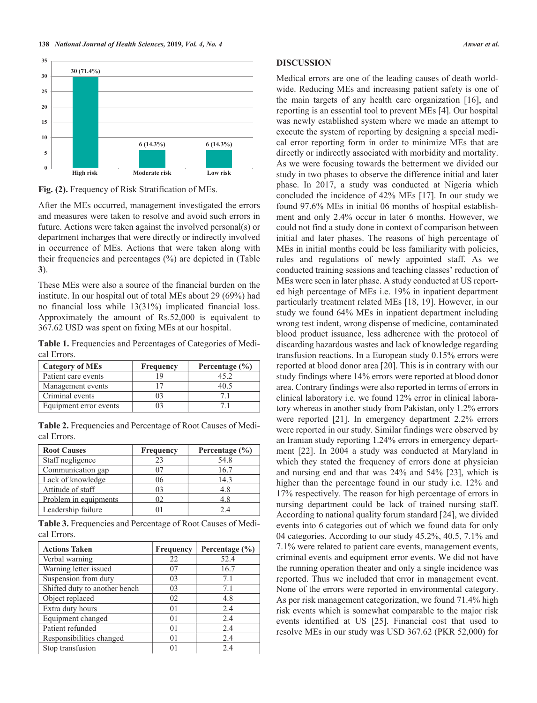

**Fig. (2).** Frequency of Risk Stratification of MEs.

After the MEs occurred, management investigated the errors and measures were taken to resolve and avoid such errors in future. Actions were taken against the involved personal(s) or department incharges that were directly or indirectly involved in occurrence of MEs. Actions that were taken along with their frequencies and percentages (%) are depicted in (Table **3**).

These MEs were also a source of the financial burden on the institute. In our hospital out of total MEs about 29 (69%) had no financial loss while 13(31%) implicated financial loss. Approximately the amount of Rs.52,000 is equivalent to 367.62 USD was spent on fixing MEs at our hospital.

**Table 1.** Frequencies and Percentages of Categories of Medical Errors.

| <b>Category of MEs</b> | Frequency | Percentage $(\% )$ |
|------------------------|-----------|--------------------|
| Patient care events    |           | 45 2               |
| Management events      |           |                    |
| Criminal events        |           |                    |
| Equipment error events |           |                    |

**Table 2.** Frequencies and Percentage of Root Causes of Medical Errors.

| <b>Root Causes</b>    | Frequency | Percentage $(\% )$ |
|-----------------------|-----------|--------------------|
| Staff negligence      | 23        | 54.8               |
| Communication gap     |           | 16.7               |
| Lack of knowledge     | 06        | 14.3               |
| Attitude of staff     | 03        | 48                 |
| Problem in equipments |           | 48                 |
| Leadership failure    |           | 24                 |

**Table 3.** Frequencies and Percentage of Root Causes of Medical Errors.

| <b>Actions Taken</b>          | Frequency      | Percentage $(\% )$ |
|-------------------------------|----------------|--------------------|
| Verbal warning                | 22             | 52.4               |
| Warning letter issued         | 07             | 16.7               |
| Suspension from duty          | 03             | 7.1                |
| Shifted duty to another bench | 03             | 7.1                |
| Object replaced               | 02             | 4.8                |
| Extra duty hours              | 0 <sub>1</sub> | 2.4                |
| Equipment changed             | 0 <sub>1</sub> | 2.4                |
| Patient refunded              | 0 <sub>1</sub> | 2.4                |
| Responsibilities changed      | 0 <sub>1</sub> | 2.4                |
| Stop transfusion              |                | 2.4                |

#### **DISCUSSION**

Medical errors are one of the leading causes of death worldwide. Reducing MEs and increasing patient safety is one of the main targets of any health care organization [16], and reporting is an essential tool to prevent MEs [4]. Our hospital was newly established system where we made an attempt to execute the system of reporting by designing a special medical error reporting form in order to minimize MEs that are directly or indirectly associated with morbidity and mortality. As we were focusing towards the betterment we divided our study in two phases to observe the difference initial and later phase. In 2017, a study was conducted at Nigeria which concluded the incidence of 42% MEs [17]. In our study we found 97.6% MEs in initial 06 months of hospital establishment and only 2.4% occur in later 6 months. However, we could not find a study done in context of comparison between initial and later phases. The reasons of high percentage of MEs in initial months could be less familiarity with policies, rules and regulations of newly appointed staff. As we conducted training sessions and teaching classes' reduction of MEs were seen in later phase. A study conducted at US reported high percentage of MEs i.e. 19% in inpatient department particularly treatment related MEs [18, 19]. However, in our study we found 64% MEs in inpatient department including wrong test indent, wrong dispense of medicine, contaminated blood product issuance, less adherence with the protocol of discarding hazardous wastes and lack of knowledge regarding transfusion reactions. In a European study 0.15% errors were reported at blood donor area [20]. This is in contrary with our study findings where 14% errors were reported at blood donor area. Contrary findings were also reported in terms of errors in clinical laboratory i.e. we found 12% error in clinical laboratory whereas in another study from Pakistan, only 1.2% errors were reported [21]. In emergency department 2.2% errors were reported in our study. Similar findings were observed by an Iranian study reporting 1.24% errors in emergency department [22]. In 2004 a study was conducted at Maryland in which they stated the frequency of errors done at physician and nursing end and that was 24% and 54% [23], which is higher than the percentage found in our study i.e. 12% and 17% respectively. The reason for high percentage of errors in nursing department could be lack of trained nursing staff. According to national quality forum standard [24], we divided events into 6 categories out of which we found data for only 04 categories. According to our study 45.2%, 40.5, 7.1% and 7.1% were related to patient care events, management events, criminal events and equipment error events. We did not have the running operation theater and only a single incidence was reported. Thus we included that error in management event. None of the errors were reported in environmental category. As per risk management categorization, we found 71.4% high risk events which is somewhat comparable to the major risk events identified at US [25]. Financial cost that used to resolve MEs in our study was USD 367.62 (PKR 52,000) for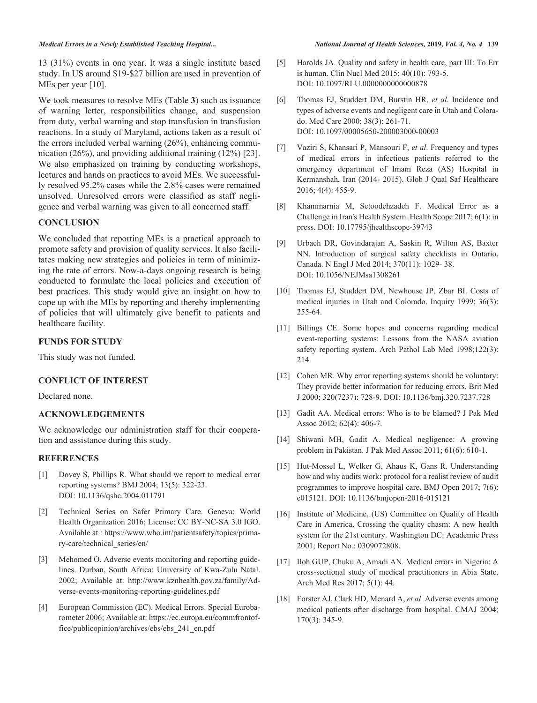#### *Medical Errors in a Newly Established Teaching Hospital... National Journal of Health Sciences,* **2019***, Vol. 4, No. 4* **139**

13 (31%) events in one year. It was a single institute based study. In US around \$19-\$27 billion are used in prevention of MEs per year [10].

We took measures to resolve MEs (Table **3**) such as issuance of warning letter, responsibilities change, and suspension from duty, verbal warning and stop transfusion in transfusion reactions. In a study of Maryland, actions taken as a result of the errors included verbal warning (26%), enhancing communication (26%), and providing additional training (12%) [23]. We also emphasized on training by conducting workshops, lectures and hands on practices to avoid MEs. We successfully resolved 95.2% cases while the 2.8% cases were remained unsolved. Unresolved errors were classified as staff negligence and verbal warning was given to all concerned staff.

## **CONCLUSION**

We concluded that reporting MEs is a practical approach to promote safety and provision of quality services. It also facilitates making new strategies and policies in term of minimizing the rate of errors. Now-a-days ongoing research is being conducted to formulate the local policies and execution of best practices. This study would give an insight on how to cope up with the MEs by reporting and thereby implementing of policies that will ultimately give benefit to patients and healthcare facility.

## **FUNDS FOR STUDY**

This study was not funded.

## **CONFLICT OF INTEREST**

Declared none.

# **ACKNOWLEDGEMENTS**

We acknowledge our administration staff for their cooperation and assistance during this study.

### **REFERENCES**

- [1] Dovey S, Phillips R. What should we report to medical error reporting systems? BMJ 2004; 13(5): 322-23. DOI: 10.1136/qshc.2004.011791
- [2] Technical Series on Safer Primary Care. Geneva: World Health Organization 2016; License: CC BY-NC-SA 3.0 IGO. Available at : https://www.who.int/patientsafety/topics/primary-care/technical\_series/en/
- [3] Mehomed O. Adverse events monitoring and reporting guidelines. Durban, South Africa: University of Kwa-Zulu Natal. 2002; Available at: http://www.kznhealth.gov.za/family/Adverse-events-monitoring-reporting-guidelines.pdf
- [4] European Commission (EC). Medical Errors. Special Eurobarometer 2006; Available at: https://ec.europa.eu/commfrontoffice/publicopinion/archives/ebs/ebs\_241\_en.pdf
- [5] Harolds JA. Quality and safety in health care, part III: To Err is human. Clin Nucl Med 2015; 40(10): 793-5. DOI: 10.1097/RLU.0000000000000878
- [6] Thomas EJ, Studdert DM, Burstin HR, *et al*. Incidence and types of adverse events and negligent care in Utah and Colorado. Med Care 2000; 38(3): 261-71. DOI: 10.1097/00005650-200003000-00003
- [7] Vaziri S, Khansari P, Mansouri F, *et al*. Frequency and types of medical errors in infectious patients referred to the emergency department of Imam Reza (AS) Hospital in Kermanshah, Iran (2014- 2015). Glob J Qual Saf Healthcare 2016; 4(4): 455-9.
- [8] Khammarnia M, Setoodehzadeh F. Medical Error as a Challenge in Iran's Health System. Health Scope 2017; 6(1): in press. DOI: 10.17795/jhealthscope-39743
- [9] Urbach DR, Govindarajan A, Saskin R, Wilton AS, Baxter NN. Introduction of surgical safety checklists in Ontario, Canada. N Engl J Med 2014; 370(11): 1029- 38. DOI: 10.1056/NEJMsa1308261
- [10] Thomas EJ, Studdert DM, Newhouse JP, Zbar BI. Costs of medical injuries in Utah and Colorado. Inquiry 1999; 36(3): 255-64.
- [11] Billings CE. Some hopes and concerns regarding medical event-reporting systems: Lessons from the NASA aviation safety reporting system. Arch Pathol Lab Med 1998;122(3): 214.
- [12] Cohen MR. Why error reporting systems should be voluntary: They provide better information for reducing errors. Brit Med J 2000; 320(7237): 728-9. DOI: 10.1136/bmj.320.7237.728
- [13] Gadit AA. Medical errors: Who is to be blamed? J Pak Med Assoc 2012; 62(4): 406-7.
- [14] Shiwani MH, Gadit A. Medical negligence: A growing problem in Pakistan. J Pak Med Assoc 2011; 61(6): 610-1.
- [15] Hut-Mossel L, Welker G, Ahaus K, Gans R. Understanding how and why audits work: protocol for a realist review of audit programmes to improve hospital care. BMJ Open 2017; 7(6): e015121. DOI: 10.1136/bmjopen-2016-015121
- [16] Institute of Medicine, (US) Committee on Quality of Health Care in America. Crossing the quality chasm: A new health system for the 21st century. Washington DC: Academic Press 2001; Report No.: 0309072808.
- [17] Iloh GUP, Chuku A, Amadi AN. Medical errors in Nigeria: A cross-sectional study of medical practitioners in Abia State. Arch Med Res 2017; 5(1): 44.
- [18] Forster AJ, Clark HD, Menard A, *et al*. Adverse events among medical patients after discharge from hospital. CMAJ 2004; 170(3): 345-9.